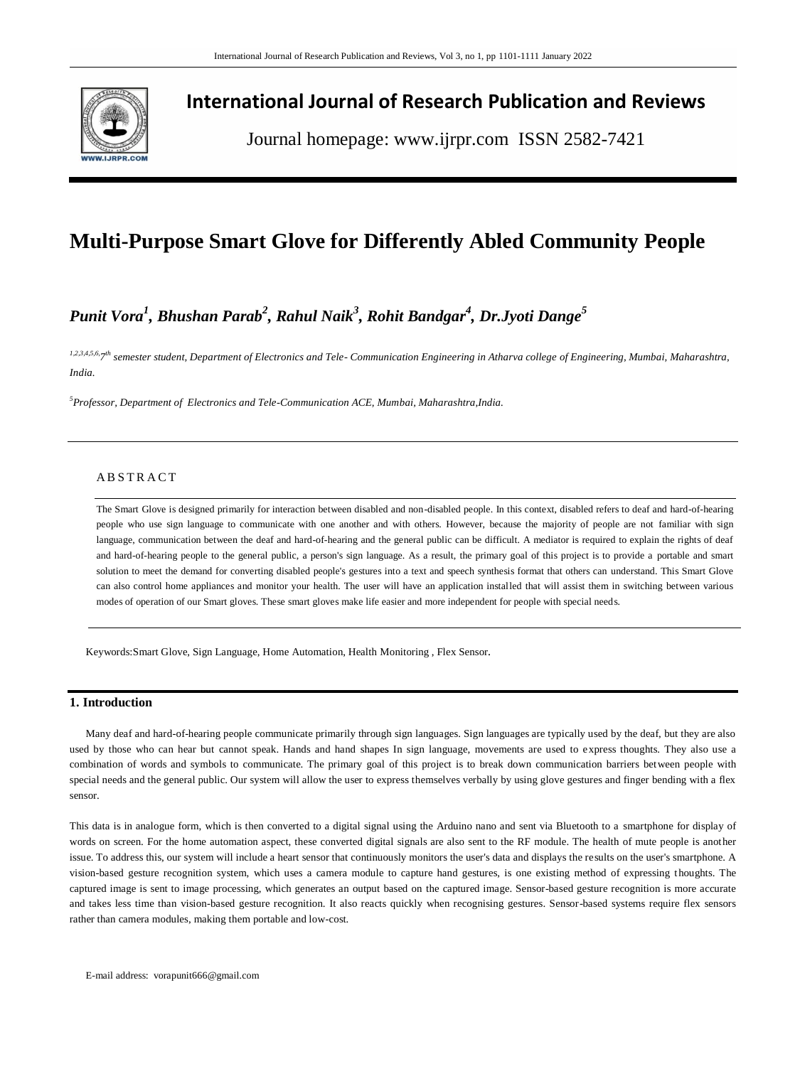

# **International Journal of Research Publication and Reviews**

Journal homepage: www.ijrpr.com ISSN 2582-7421

# **Multi-Purpose Smart Glove for Differently Abled Community People**

# *Punit Vora<sup>1</sup> , Bhushan Parab<sup>2</sup> , Rahul Naik<sup>3</sup> , Rohit Bandgar<sup>4</sup> , Dr.Jyoti Dange<sup>5</sup>*

*1,2,3,4,5,6,7 th semester student, Department of Electronics and Tele- Communication Engineering in Atharva college of Engineering, Mumbai, Maharashtra, India.*

*<sup>5</sup>Professor, Department of Electronics and Tele-Communication ACE, Mumbai, Maharashtra,India.*

# A B S T R A C T

The Smart Glove is designed primarily for interaction between disabled and non-disabled people. In this context, disabled refers to deaf and hard-of-hearing people who use sign language to communicate with one another and with others. However, because the majority of people are not familiar with sign language, communication between the deaf and hard-of-hearing and the general public can be difficult. A mediator is required to explain the rights of deaf and hard-of-hearing people to the general public, a person's sign language. As a result, the primary goal of this project is to provide a portable and smart solution to meet the demand for converting disabled people's gestures into a text and speech synthesis format that others can understand. This Smart Glove can also control home appliances and monitor your health. The user will have an application installed that will assist them in switching between various modes of operation of our Smart gloves. These smart gloves make life easier and more independent for people with special needs.

Keywords:Smart Glove, Sign Language, Home Automation, Health Monitoring , Flex Sensor*.*

# **1. Introduction**

Many deaf and hard-of-hearing people communicate primarily through sign languages. Sign languages are typically used by the deaf, but they are also used by those who can hear but cannot speak. Hands and hand shapes In sign language, movements are used to express thoughts. They also use a combination of words and symbols to communicate. The primary goal of this project is to break down communication barriers between people with special needs and the general public. Our system will allow the user to express themselves verbally by using glove gestures and finger bending with a flex sensor.

This data is in analogue form, which is then converted to a digital signal using the Arduino nano and sent via Bluetooth to a smartphone for display of words on screen. For the home automation aspect, these converted digital signals are also sent to the RF module. The health of mute people is another issue. To address this, our system will include a heart sensor that continuously monitors the user's data and displays the results on the user's smartphone. A vision-based gesture recognition system, which uses a camera module to capture hand gestures, is one existing method of expressing thoughts. The captured image is sent to image processing, which generates an output based on the captured image. Sensor-based gesture recognition is more accurate and takes less time than vision-based gesture recognition. It also reacts quickly when recognising gestures. Sensor-based systems require flex sensors rather than camera modules, making them portable and low-cost.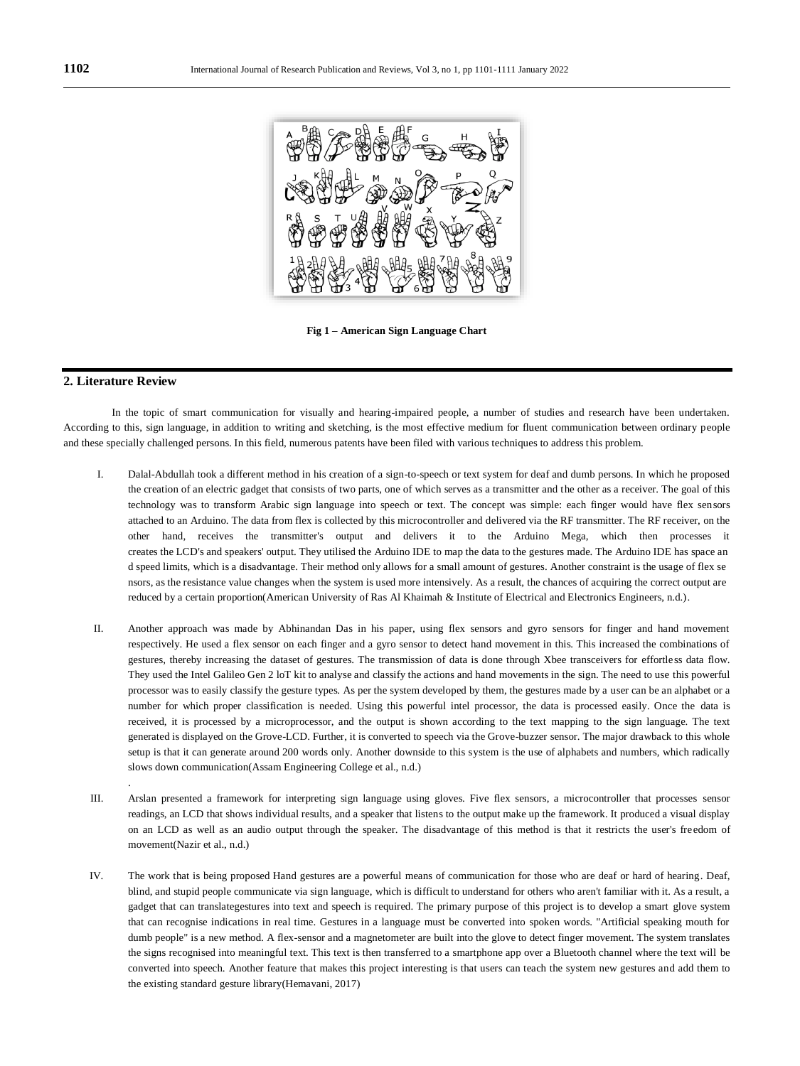

**Fig 1 – American Sign Language Chart**

#### **2. Literature Review**

.

In the topic of smart communication for visually and hearing-impaired people, a number of studies and research have been undertaken. According to this, sign language, in addition to writing and sketching, is the most effective medium for fluent communication between ordinary people and these specially challenged persons. In this field, numerous patents have been filed with various techniques to address this problem.

- I. Dalal-Abdullah took a different method in his creation of a sign-to-speech or text system for deaf and dumb persons. In which he proposed the creation of an electric gadget that consists of two parts, one of which serves as a transmitter and the other as a receiver. The goal of this technology was to transform Arabic sign language into speech or text. The concept was simple: each finger would have flex sensors attached to an Arduino. The data from flex is collected by this microcontroller and delivered via the RF transmitter. The RF receiver, on the other hand, receives the transmitter's output and delivers it to the Arduino Mega, which then processes it creates the LCD's and speakers' output. They utilised the Arduino IDE to map the data to the gestures made. The Arduino IDE has space an d speed limits, which is a disadvantage. Their method only allows for a small amount of gestures. Another constraint is the usage of flex se nsors, as the resistance value changes when the system is used more intensively. As a result, the chances of acquiring the correct output are reduced by a certain proportion(American University of Ras Al Khaimah & Institute of Electrical and Electronics Engineers, n.d.).
- II. Another approach was made by Abhinandan Das in his paper, using flex sensors and gyro sensors for finger and hand movement respectively. He used a flex sensor on each finger and a gyro sensor to detect hand movement in this. This increased the combinations of gestures, thereby increasing the dataset of gestures. The transmission of data is done through Xbee transceivers for effortless data flow. They used the Intel Galileo Gen 2 loT kit to analyse and classify the actions and hand movements in the sign. The need to use this powerful processor was to easily classify the gesture types. As per the system developed by them, the gestures made by a user can be an alphabet or a number for which proper classification is needed. Using this powerful intel processor, the data is processed easily. Once the data is received, it is processed by a microprocessor, and the output is shown according to the text mapping to the sign language. The text generated is displayed on the Grove-LCD. Further, it is converted to speech via the Grove-buzzer sensor. The major drawback to this whole setup is that it can generate around 200 words only. Another downside to this system is the use of alphabets and numbers, which radically slows down communication(Assam Engineering College et al., n.d.)
- III. Arslan presented a framework for interpreting sign language using gloves. Five flex sensors, a microcontroller that processes sensor readings, an LCD that shows individual results, and a speaker that listens to the output make up the framework. It produced a visual display on an LCD as well as an audio output through the speaker. The disadvantage of this method is that it restricts the user's freedom of movement(Nazir et al., n.d.)
- IV. The work that is being proposed Hand gestures are a powerful means of communication for those who are deaf or hard of hearing. Deaf, blind, and stupid people communicate via sign language, which is difficult to understand for others who aren't familiar with it. As a result, a gadget that can translategestures into text and speech is required. The primary purpose of this project is to develop a smart glove system that can recognise indications in real time. Gestures in a language must be converted into spoken words. "Artificial speaking mouth for dumb people" is a new method. A flex-sensor and a magnetometer are built into the glove to detect finger movement. The system translates the signs recognised into meaningful text. This text is then transferred to a smartphone app over a Bluetooth channel where the text will be converted into speech. Another feature that makes this project interesting is that users can teach the system new gestures and add them to the existing standard gesture library(Hemavani, 2017)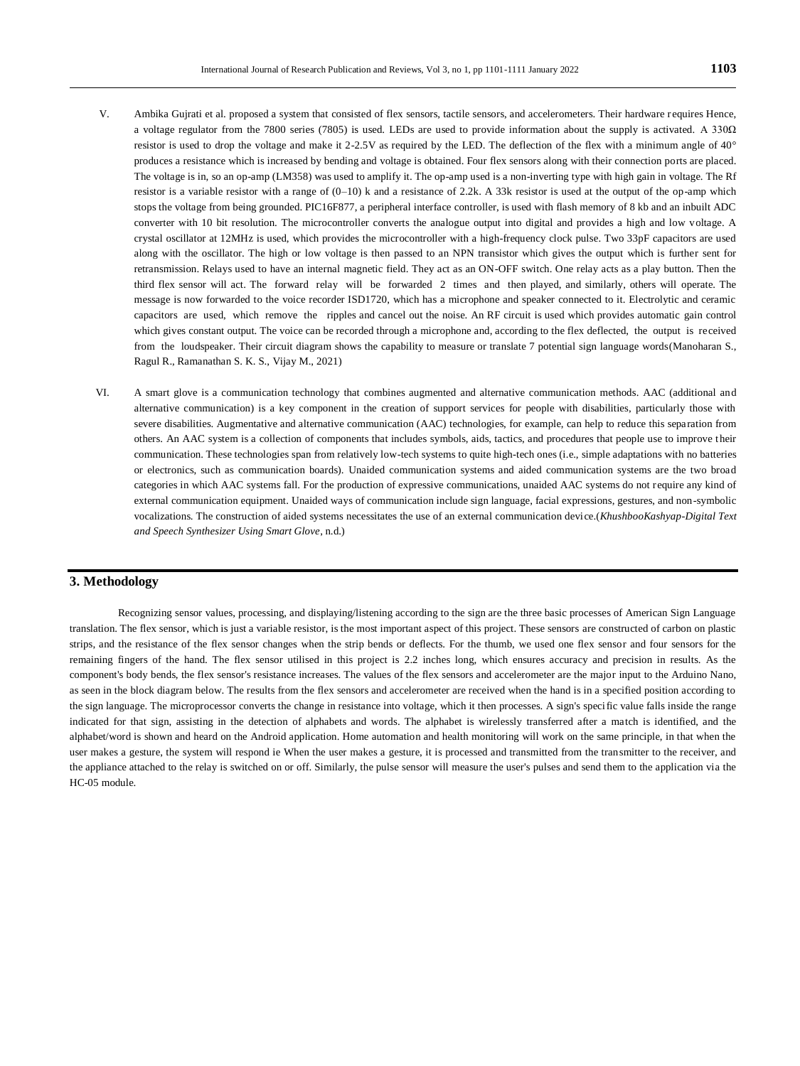- V. Ambika Gujrati et al. proposed a system that consisted of flex sensors, tactile sensors, and accelerometers. Their hardware requires Hence, a voltage regulator from the 7800 series (7805) is used. LEDs are used to provide information about the supply is activated. A 330Ω resistor is used to drop the voltage and make it 2-2.5V as required by the LED. The deflection of the flex with a minimum angle of 40° produces a resistance which is increased by bending and voltage is obtained. Four flex sensors along with their connection ports are placed. The voltage is in, so an op-amp (LM358) was used to amplify it. The op-amp used is a non-inverting type with high gain in voltage. The Rf resistor is a variable resistor with a range of  $(0-10)$  k and a resistance of 2.2k. A 33k resistor is used at the output of the op-amp which stops the voltage from being grounded. PIC16F877, a peripheral interface controller, is used with flash memory of 8 kb and an inbuilt ADC converter with 10 bit resolution. The microcontroller converts the analogue output into digital and provides a high and low voltage. A crystal oscillator at 12MHz is used, which provides the microcontroller with a high-frequency clock pulse. Two 33pF capacitors are used along with the oscillator. The high or low voltage is then passed to an NPN transistor which gives the output which is further sent for retransmission. Relays used to have an internal magnetic field. They act as an ON-OFF switch. One relay acts as a play button. Then the third flex sensor will act. The forward relay will be forwarded 2 times and then played, and similarly, others will operate. The message is now forwarded to the voice recorder ISD1720, which has a microphone and speaker connected to it. Electrolytic and ceramic capacitors are used, which remove the ripples and cancel out the noise. An RF circuit is used which provides automatic gain control which gives constant output. The voice can be recorded through a microphone and, according to the flex deflected, the output is received from the loudspeaker. Their circuit diagram shows the capability to measure or translate 7 potential sign language words(Manoharan S., Ragul R., Ramanathan S. K. S., Vijay M., 2021)
- VI. A smart glove is a communication technology that combines augmented and alternative communication methods. AAC (additional and alternative communication) is a key component in the creation of support services for people with disabilities, particularly those with severe disabilities. Augmentative and alternative communication (AAC) technologies, for example, can help to reduce this separation from others. An AAC system is a collection of components that includes symbols, aids, tactics, and procedures that people use to improve their communication. These technologies span from relatively low-tech systems to quite high-tech ones (i.e., simple adaptations with no batteries or electronics, such as communication boards). Unaided communication systems and aided communication systems are the two broad categories in which AAC systems fall. For the production of expressive communications, unaided AAC systems do not require any kind of external communication equipment. Unaided ways of communication include sign language, facial expressions, gestures, and non-symbolic vocalizations. The construction of aided systems necessitates the use of an external communication device.(*KhushbooKashyap-Digital Text and Speech Synthesizer Using Smart Glove*, n.d.)

#### **3. Methodology**

Recognizing sensor values, processing, and displaying/listening according to the sign are the three basic processes of American Sign Language translation. The flex sensor, which is just a variable resistor, is the most important aspect of this project. These sensors are constructed of carbon on plastic strips, and the resistance of the flex sensor changes when the strip bends or deflects. For the thumb, we used one flex sensor and four sensors for the remaining fingers of the hand. The flex sensor utilised in this project is 2.2 inches long, which ensures accuracy and precision in results. As the component's body bends, the flex sensor's resistance increases. The values of the flex sensors and accelerometer are the major input to the Arduino Nano, as seen in the block diagram below. The results from the flex sensors and accelerometer are received when the hand is in a specified position according to the sign language. The microprocessor converts the change in resistance into voltage, which it then processes. A sign's specific value falls inside the range indicated for that sign, assisting in the detection of alphabets and words. The alphabet is wirelessly transferred after a match is identified, and the alphabet/word is shown and heard on the Android application. Home automation and health monitoring will work on the same principle, in that when the user makes a gesture, the system will respond ie When the user makes a gesture, it is processed and transmitted from the transmitter to the receiver, and the appliance attached to the relay is switched on or off. Similarly, the pulse sensor will measure the user's pulses and send them to the application via the HC-05 module.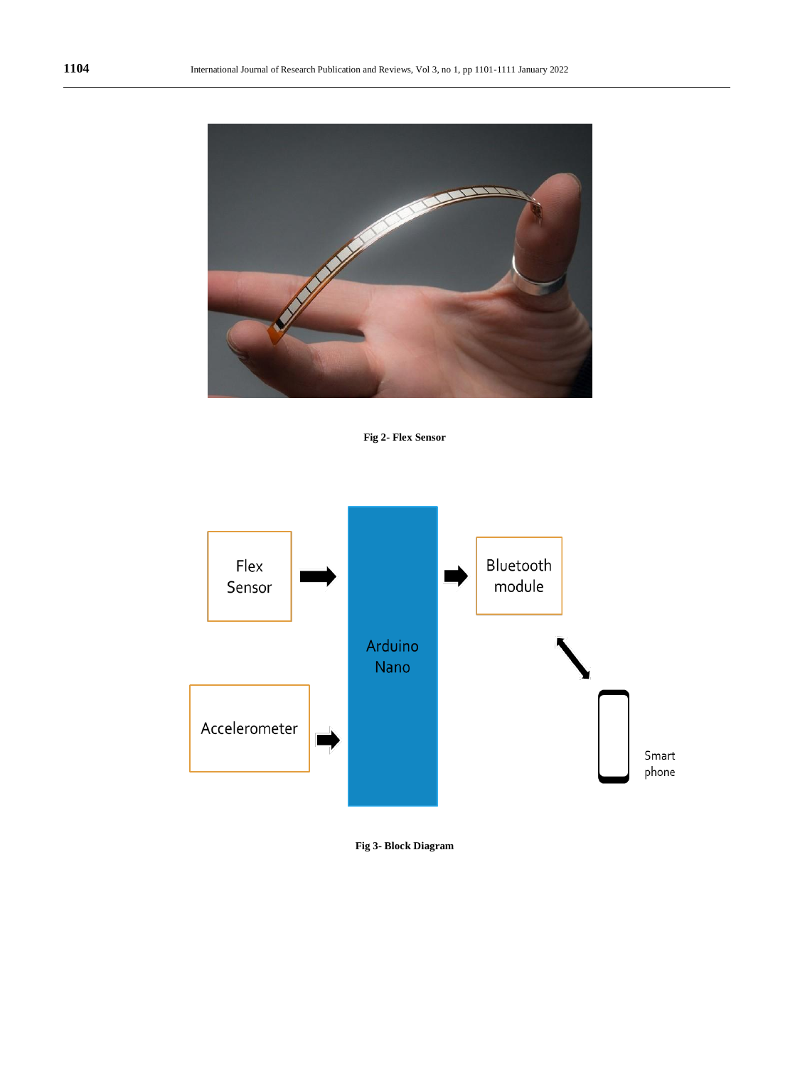

**Fig 2- Flex Sensor**



**Fig 3- Block Diagram**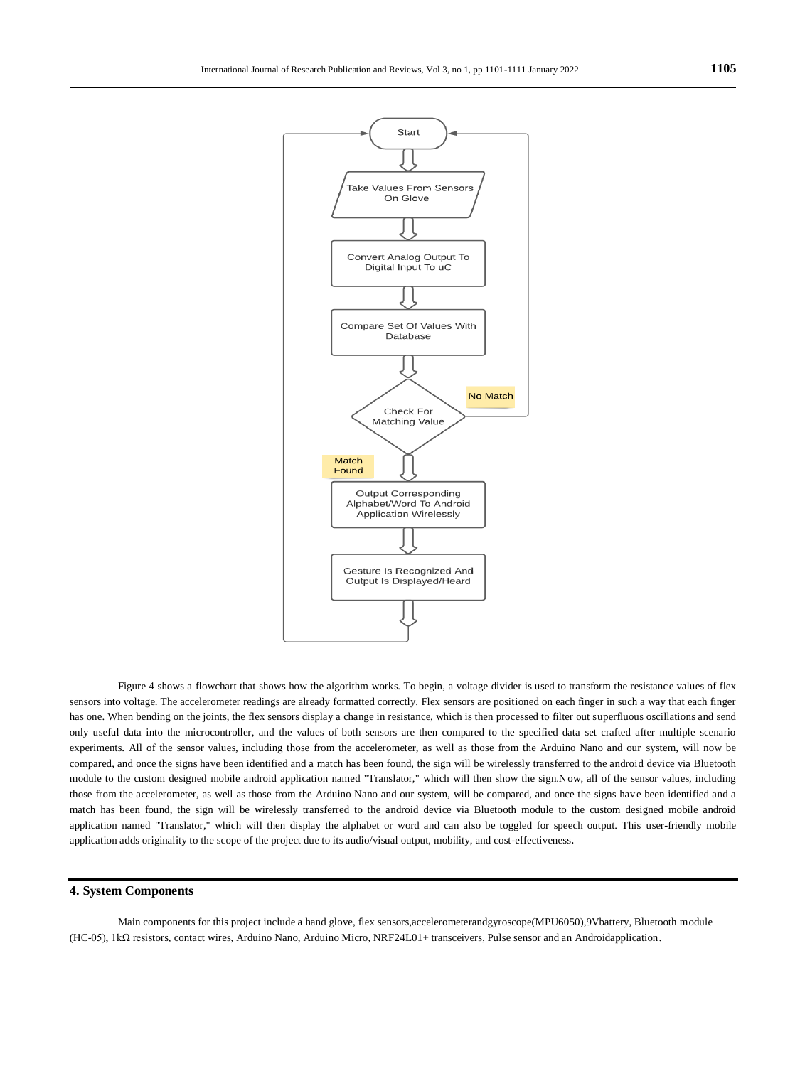

Figure 4 shows a flowchart that shows how the algorithm works. To begin, a voltage divider is used to transform the resistance values of flex sensors into voltage. The accelerometer readings are already formatted correctly. Flex sensors are positioned on each finger in such a way that each finger has one. When bending on the joints, the flex sensors display a change in resistance, which is then processed to filter out superfluous oscillations and send only useful data into the microcontroller, and the values of both sensors are then compared to the specified data set crafted after multiple scenario experiments. All of the sensor values, including those from the accelerometer, as well as those from the Arduino Nano and our system, will now be compared, and once the signs have been identified and a match has been found, the sign will be wirelessly transferred to the android device via Bluetooth module to the custom designed mobile android application named "Translator," which will then show the sign.Now, all of the sensor values, including those from the accelerometer, as well as those from the Arduino Nano and our system, will be compared, and once the signs have been identified and a match has been found, the sign will be wirelessly transferred to the android device via Bluetooth module to the custom designed mobile android application named "Translator," which will then display the alphabet or word and can also be toggled for speech output. This user-friendly mobile application adds originality to the scope of the project due to its audio/visual output, mobility, and cost-effectiveness.

# **4. System Components**

Main components for this project include a hand glove, flex sensors,accelerometerandgyroscope(MPU6050),9Vbattery, Bluetooth module (HC-05), 1kΩ resistors, contact wires, Arduino Nano, Arduino Micro, NRF24L01+ transceivers, Pulse sensor and an Androidapplication.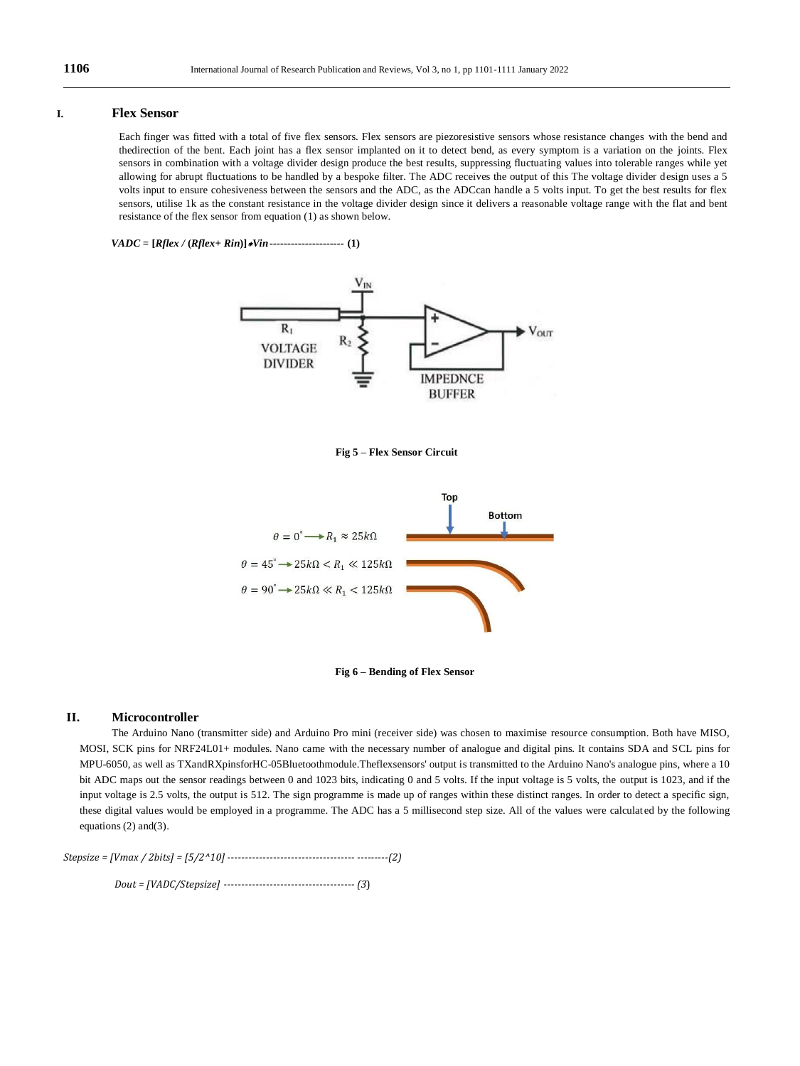#### **I. Flex Sensor**

Each finger was fitted with a total of five flex sensors. Flex sensors are piezoresistive sensors whose resistance changes with the bend and thedirection of the bent. Each joint has a flex sensor implanted on it to detect bend, as every symptom is a variation on the joints. Flex sensors in combination with a voltage divider design produce the best results, suppressing fluctuating values into tolerable ranges while yet allowing for abrupt fluctuations to be handled by a bespoke filter. The ADC receives the output of this The voltage divider design uses a 5 volts input to ensure cohesiveness between the sensors and the ADC, as the ADCcan handle a 5 volts input. To get the best results for flex sensors, utilise 1k as the constant resistance in the voltage divider design since it delivers a reasonable voltage range with the flat and bent resistance of the flex sensor from equation (1) as shown below.

*VADC* **= [***Rflex /* **(***Rflex***+** *Rin***)]**∗*Vin---------------------* **(1)**



**Fig 5 – Flex Sensor Circuit**





#### **II. Microcontroller**

The Arduino Nano (transmitter side) and Arduino Pro mini (receiver side) was chosen to maximise resource consumption. Both have MISO, MOSI, SCK pins for NRF24L01+ modules. Nano came with the necessary number of analogue and digital pins. It contains SDA and SCL pins for MPU-6050, as well as TXandRXpinsforHC-05Bluetoothmodule.Theflexsensors' output is transmitted to the Arduino Nano's analogue pins, where a 10 bit ADC maps out the sensor readings between 0 and 1023 bits, indicating 0 and 5 volts. If the input voltage is 5 volts, the output is 1023, and if the input voltage is 2.5 volts, the output is 512. The sign programme is made up of ranges within these distinct ranges. In order to detect a specific sign, these digital values would be employed in a programme. The ADC has a 5 millisecond step size. All of the values were calculated by the following equations (2) and(3).

*Stepsize = [Vmax / 2bits] = [5/2^10] ------------------------------------ ---------(2)*

*Dout = [VADC/Stepsize] ------------------------------------- (3*)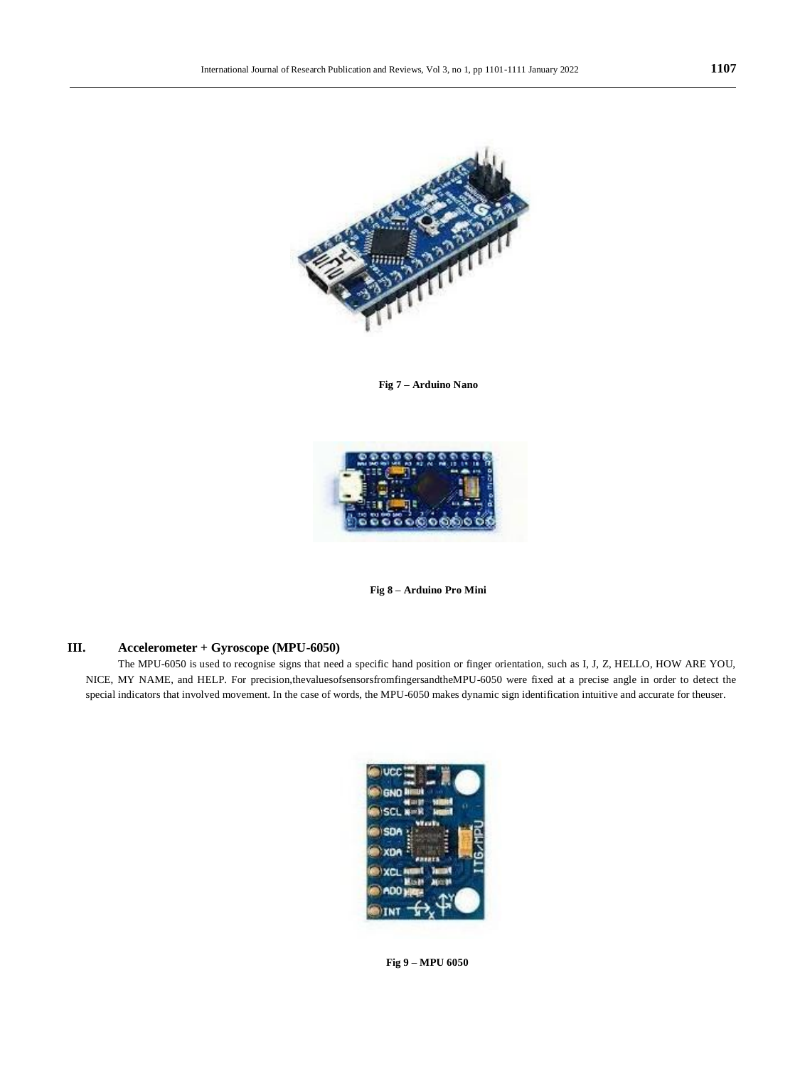

**Fig 7 – Arduino Nano**



**Fig 8 – Arduino Pro Mini**

# **III. Accelerometer + Gyroscope (MPU-6050)**

The MPU-6050 is used to recognise signs that need a specific hand position or finger orientation, such as I, J, Z, HELLO, HOW ARE YOU, NICE, MY NAME, and HELP. For precision,thevaluesofsensorsfromfingersandtheMPU-6050 were fixed at a precise angle in order to detect the special indicators that involved movement. In the case of words, the MPU-6050 makes dynamic sign identification intuitive and accurate for theuser.



**Fig 9 – MPU 6050**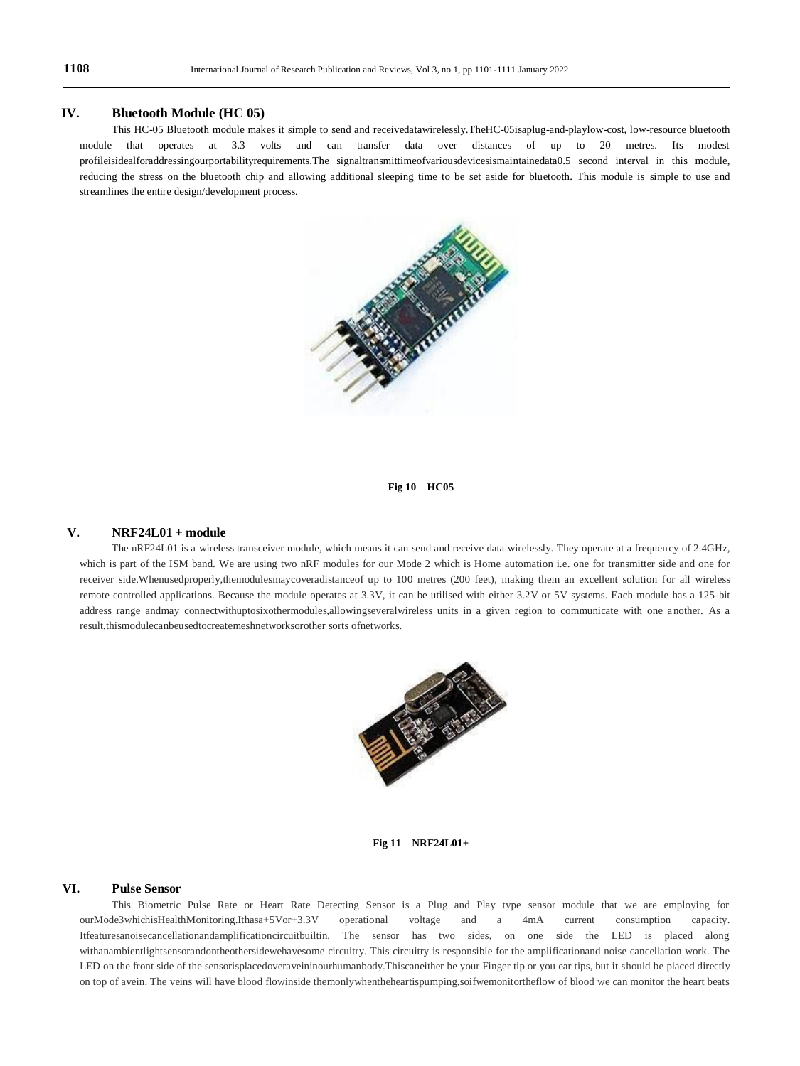## **IV. Bluetooth Module (HC 05)**

This HC-05 Bluetooth module makes it simple to send and receivedatawirelessly.TheHC-05isaplug-and-playlow-cost, low-resource bluetooth module that operates at 3.3 volts and can transfer data over distances of up to 20 metres. Its modest profileisidealforaddressingourportabilityrequirements.The signaltransmittimeofvariousdevicesismaintainedata0.5 second interval in this module, reducing the stress on the bluetooth chip and allowing additional sleeping time to be set aside for bluetooth. This module is simple to use and streamlines the entire design/development process.



**Fig 10 – HC05**

### **V. NRF24L01 + module**

The nRF24L01 is a wireless transceiver module, which means it can send and receive data wirelessly. They operate at a frequency of 2.4GHz, which is part of the ISM band. We are using two nRF modules for our Mode 2 which is Home automation i.e. one for transmitter side and one for receiver side.Whenusedproperly,themodulesmaycoveradistanceof up to 100 metres (200 feet), making them an excellent solution for all wireless remote controlled applications. Because the module operates at 3.3V, it can be utilised with either 3.2V or 5V systems. Each module has a 125-bit address range andmay connectwithuptosixothermodules,allowingseveralwireless units in a given region to communicate with one another. As a result,thismodulecanbeusedtocreatemeshnetworksorother sorts ofnetworks.



**Fig 11 – NRF24L01+**

#### **VI. Pulse Sensor**

This Biometric Pulse Rate or Heart Rate Detecting Sensor is a Plug and Play type sensor module that we are employing for ourMode3whichisHealthMonitoring.Ithasa+5Vor+3.3V operational voltage and a 4mA current consumption capacity. Itfeaturesanoisecancellationandamplificationcircuitbuiltin. The sensor has two sides, on one side the LED is placed along withanambientlightsensorandontheothersidewehavesome circuitry. This circuitry is responsible for the amplificationand noise cancellation work. The LED on the front side of the sensorisplacedoveraveininourhumanbody. Thiscaneither be your Finger tip or you ear tips, but it should be placed directly on top of avein. The veins will have blood flowinside themonlywhentheheartispumping,soifwemonitortheflow of blood we can monitor the heart beats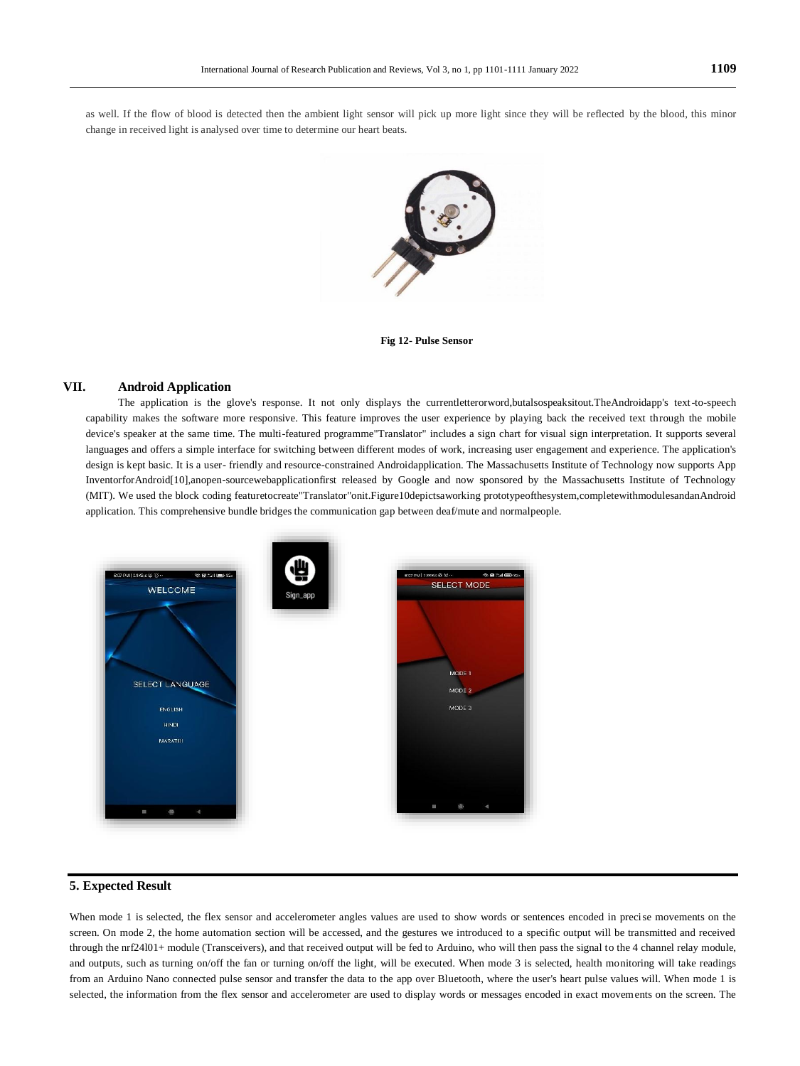as well. If the flow of blood is detected then the ambient light sensor will pick up more light since they will be reflected by the blood, this minor change in received light is analysed over time to determine our heart beats.



**Fig 12- Pulse Sensor**

# **VII. Android Application**

The application is the glove's response. It not only displays the currentletterorword,butalsospeaksitout.TheAndroidapp's text-to-speech capability makes the software more responsive. This feature improves the user experience by playing back the received text through the mobile device's speaker at the same time. The multi-featured programme"Translator" includes a sign chart for visual sign interpretation. It supports several languages and offers a simple interface for switching between different modes of work, increasing user engagement and experience. The application's design is kept basic. It is a user- friendly and resource-constrained Androidapplication. The Massachusetts Institute of Technology now supports App InventorforAndroid[10],anopen-sourcewebapplicationfirst released by Google and now sponsored by the Massachusetts Institute of Technology (MIT). We used the block coding featuretocreate"Translator"onit.Figure10depictsaworking prototypeofthesystem,completewithmodulesandanAndroid application. This comprehensive bundle bridges the communication gap between deaf/mute and normalpeople.



### **5. Expected Result**

When mode 1 is selected, the flex sensor and accelerometer angles values are used to show words or sentences encoded in precise movements on the screen. On mode 2, the home automation section will be accessed, and the gestures we introduced to a specific output will be transmitted and received through the nrf24l01+ module (Transceivers), and that received output will be fed to Arduino, who will then pass the signal to the 4 channel relay module, and outputs, such as turning on/off the fan or turning on/off the light, will be executed. When mode 3 is selected, health monitoring will take readings from an Arduino Nano connected pulse sensor and transfer the data to the app over Bluetooth, where the user's heart pulse values will. When mode 1 is selected, the information from the flex sensor and accelerometer are used to display words or messages encoded in exact movements on the screen. The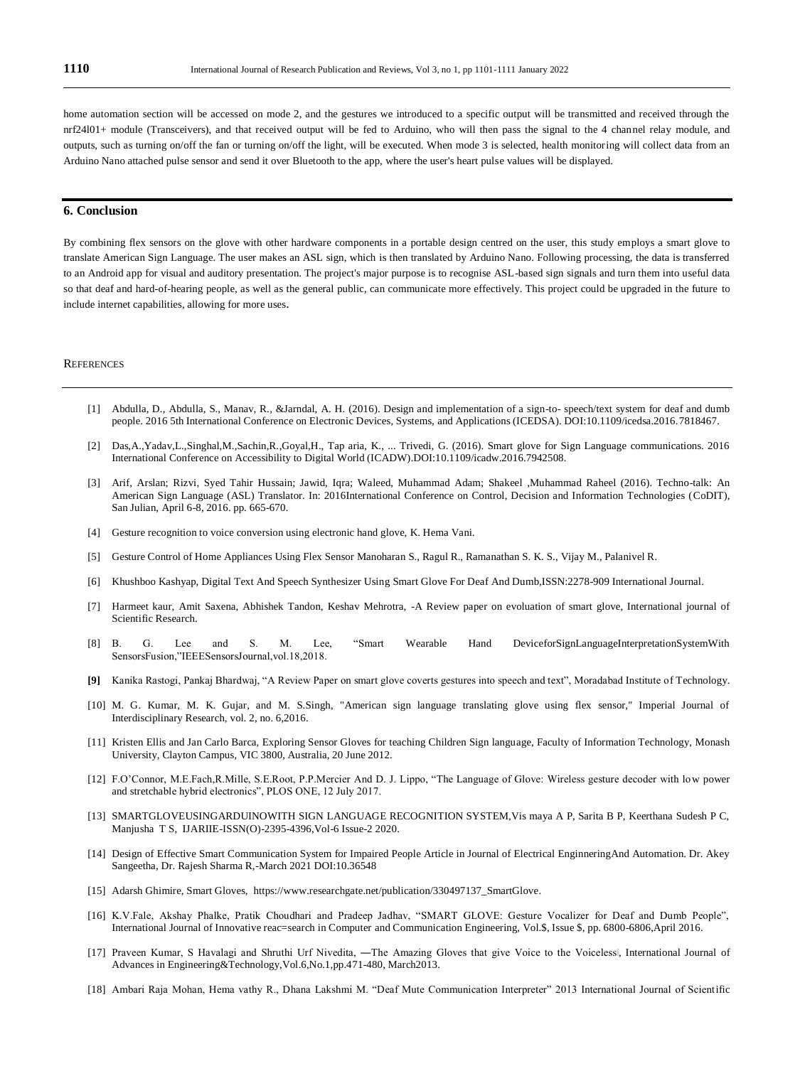home automation section will be accessed on mode 2, and the gestures we introduced to a specific output will be transmitted and received through the nrf24l01+ module (Transceivers), and that received output will be fed to Arduino, who will then pass the signal to the 4 channel relay module, and outputs, such as turning on/off the fan or turning on/off the light, will be executed. When mode 3 is selected, health monitoring will collect data from an Arduino Nano attached pulse sensor and send it over Bluetooth to the app, where the user's heart pulse values will be displayed.

## **6. Conclusion**

By combining flex sensors on the glove with other hardware components in a portable design centred on the user, this study employs a smart glove to translate American Sign Language. The user makes an ASL sign, which is then translated by Arduino Nano. Following processing, the data is transferred to an Android app for visual and auditory presentation. The project's major purpose is to recognise ASL-based sign signals and turn them into useful data so that deaf and hard-of-hearing people, as well as the general public, can communicate more effectively. This project could be upgraded in the future to include internet capabilities, allowing for more uses.

#### **REFERENCES**

- [1] Abdulla, D., Abdulla, S., Manav, R., &Jarndal, A. H. (2016). Design and implementation of a sign-to- speech/text system for deaf and dumb people. 2016 5th International Conference on Electronic Devices, Systems, and Applications (ICEDSA). DOI:10.1109/icedsa.2016.7818467.
- [2] Das,A.,Yadav,L.,Singhal,M.,Sachin,R.,Goyal,H., Tap aria, K., ... Trivedi, G. (2016). Smart glove for Sign Language communications. 2016 International Conference on Accessibility to Digital World (ICADW).DOI:10.1109/icadw.2016.7942508.
- [3] Arif, Arslan; Rizvi, Syed Tahir Hussain; Jawid, Iqra; Waleed, Muhammad Adam; Shakeel ,Muhammad Raheel (2016). Techno-talk: An American Sign Language (ASL) Translator. In: 2016International Conference on Control, Decision and Information Technologies (CoDIT), San Julian, April 6-8, 2016. pp. 665-670.
- [4] Gesture recognition to voice conversion using electronic hand glove, K. Hema Vani.
- [5] Gesture Control of Home Appliances Using Flex Sensor Manoharan S., Ragul R., Ramanathan S. K. S., Vijay M., Palanivel R.
- [6] Khushboo Kashyap, Digital Text And Speech Synthesizer Using Smart Glove For Deaf And Dumb,ISSN:2278-909 International Journal.
- [7] Harmeet kaur, Amit Saxena, Abhishek Tandon, Keshav Mehrotra, -A Review paper on evoluation of smart glove, International journal of Scientific Research.
- [8] B. G. Lee and S. M. Lee, "Smart Wearable Hand DeviceforSignLanguageInterpretationSystemWith SensorsFusion,"IEEESensorsJournal,vol.18,2018.
- **[9]** Kanika Rastogi, Pankaj Bhardwaj, "A Review Paper on smart glove coverts gestures into speech and text", Moradabad Institute of Technology.
- [10] M. G. Kumar, M. K. Gujar, and M. S.Singh, "American sign language translating glove using flex sensor," Imperial Journal of Interdisciplinary Research, vol. 2, no. 6,2016.
- [11] Kristen Ellis and Jan Carlo Barca, Exploring Sensor Gloves for teaching Children Sign language, Faculty of Information Technology, Monash University, Clayton Campus, VIC 3800, Australia, 20 June 2012.
- [12] F.O'Connor, M.E.Fach,R.Mille, S.E.Root, P.P.Mercier And D. J. Lippo, "The Language of Glove: Wireless gesture decoder with low power and stretchable hybrid electronics", PLOS ONE, 12 July 2017.
- [13] SMARTGLOVEUSINGARDUINOWITH SIGN LANGUAGE RECOGNITION SYSTEM,Vis maya A P, Sarita B P, Keerthana Sudesh P C, Manjusha T S, IJARIIE-ISSN(O)-2395-4396,Vol-6 Issue-2 2020.
- [14] Design of Effective Smart Communication System for Impaired People Article in Journal of Electrical EnginneringAnd Automation. Dr. Akey Sangeetha, Dr. Rajesh Sharma R,-March 2021 DOI:10.36548
- [15] Adarsh Ghimire, Smart Gloves, [https://www.researchgate.net/publication/330497137\\_SmartGlove.](https://www.researchgate.net/publication/330497137_SmartGlove)
- [16] K.V.Fale, Akshay Phalke, Pratik Choudhari and Pradeep Jadhav, "SMART GLOVE: Gesture Vocalizer for Deaf and Dumb People", International Journal of Innovative reac=search in Computer and Communication Engineering, Vol.\$, Issue \$, pp. 6800-6806,April 2016.
- [17] Praveen Kumar, S Havalagi and Shruthi Urf Nivedita, —The Amazing Gloves that give Voice to the Voiceless|, International Journal of Advances in Engineering&Technology,Vol.6,No.1,pp.471-480, March2013.
- [18] Ambari Raja Mohan, Hema vathy R., Dhana Lakshmi M. "Deaf Mute Communication Interpreter" 2013 International Journal of Scientific